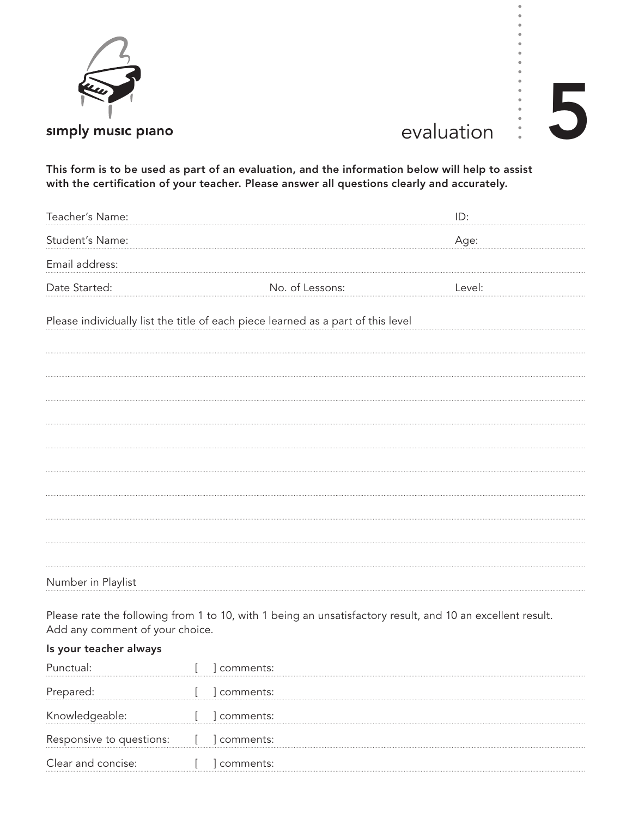

## $\begin{array}{c} \begin{array}{c} \vdots \\ \vdots \end{array} \end{array}$

This form is to be used as part of an evaluation, and the information below will help to assist with the certification of your teacher. Please answer all questions clearly and accurately.

| Teacher's Name:                                                                  |                 | ID:    |
|----------------------------------------------------------------------------------|-----------------|--------|
| Student's Name:                                                                  |                 | Age:   |
| Email address:                                                                   |                 |        |
| Date Started:                                                                    | No. of Lessons: | Level: |
| Please individually list the title of each piece learned as a part of this level |                 |        |
|                                                                                  |                 |        |
|                                                                                  |                 |        |
|                                                                                  |                 |        |
|                                                                                  |                 |        |
|                                                                                  |                 |        |
|                                                                                  |                 |        |
|                                                                                  |                 |        |
|                                                                                  |                 |        |
|                                                                                  |                 |        |
| Number in Playlist                                                               |                 |        |

Please rate the following from 1 to 10, with 1 being an unsatisfactory result, and 10 an excellent result. Add any comment of your choice.

## Is your teacher always

|                                        | comments: |
|----------------------------------------|-----------|
| Prepared:                              | comments: |
| Knowledgeable:                         | comments: |
| Responsive to questions: [ ] comments: |           |
| Clear and concise:                     | comments: |